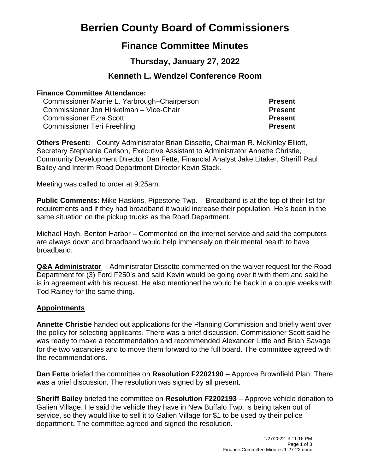# **Berrien County Board of Commissioners**

## **Finance Committee Minutes**

## **Thursday, January 27, 2022**

## **Kenneth L. Wendzel Conference Room**

#### **Finance Committee Attendance:**

| Commissioner Mamie L. Yarbrough–Chairperson | <b>Present</b> |
|---------------------------------------------|----------------|
| Commissioner Jon Hinkelman - Vice-Chair     | <b>Present</b> |
| <b>Commissioner Ezra Scott</b>              | <b>Present</b> |
| <b>Commissioner Teri Freehling</b>          | <b>Present</b> |

**Others Present:** County Administrator Brian Dissette, Chairman R. McKinley Elliott, Secretary Stephanie Carlson, Executive Assistant to Administrator Annette Christie, Community Development Director Dan Fette, Financial Analyst Jake Litaker, Sheriff Paul Bailey and Interim Road Department Director Kevin Stack.

Meeting was called to order at 9:25am.

**Public Comments:** Mike Haskins, Pipestone Twp. – Broadband is at the top of their list for requirements and if they had broadband it would increase their population. He's been in the same situation on the pickup trucks as the Road Department.

Michael Hoyh, Benton Harbor – Commented on the internet service and said the computers are always down and broadband would help immensely on their mental health to have broadband.

**Q&A Administrator** – Administrator Dissette commented on the waiver request for the Road Department for (3) Ford F250's and said Kevin would be going over it with them and said he is in agreement with his request. He also mentioned he would be back in a couple weeks with Tod Rainey for the same thing.

#### **Appointments**

**Annette Christie** handed out applications for the Planning Commission and briefly went over the policy for selecting applicants. There was a brief discussion. Commissioner Scott said he was ready to make a recommendation and recommended Alexander Little and Brian Savage for the two vacancies and to move them forward to the full board. The committee agreed with the recommendations.

**Dan Fette** briefed the committee on **Resolution F2202190** – Approve Brownfield Plan. There was a brief discussion. The resolution was signed by all present.

**Sheriff Bailey** briefed the committee on **Resolution F2202193** – Approve vehicle donation to Galien Village. He said the vehicle they have in New Buffalo Twp. is being taken out of service, so they would like to sell it to Galien Village for \$1 to be used by their police department**.** The committee agreed and signed the resolution.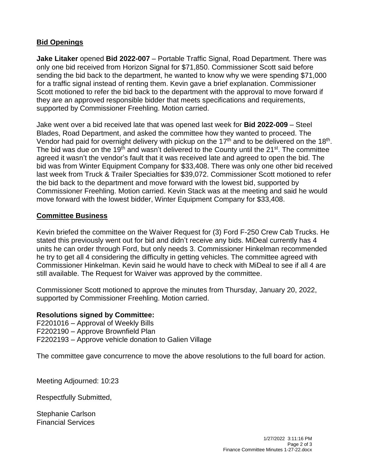### **Bid Openings**

**Jake Litaker** opened **Bid 2022-007** – Portable Traffic Signal, Road Department. There was only one bid received from Horizon Signal for \$71,850. Commissioner Scott said before sending the bid back to the department, he wanted to know why we were spending \$71,000 for a traffic signal instead of renting them. Kevin gave a brief explanation. Commissioner Scott motioned to refer the bid back to the department with the approval to move forward if they are an approved responsible bidder that meets specifications and requirements, supported by Commissioner Freehling. Motion carried.

Jake went over a bid received late that was opened last week for **Bid 2022-009** – Steel Blades, Road Department, and asked the committee how they wanted to proceed. The Vendor had paid for overnight delivery with pickup on the 17<sup>th</sup> and to be delivered on the 18<sup>th</sup>. The bid was due on the 19<sup>th</sup> and wasn't delivered to the County until the 21<sup>st</sup>. The committee agreed it wasn't the vendor's fault that it was received late and agreed to open the bid. The bid was from Winter Equipment Company for \$33,408. There was only one other bid received last week from Truck & Trailer Specialties for \$39,072. Commissioner Scott motioned to refer the bid back to the department and move forward with the lowest bid, supported by Commissioner Freehling. Motion carried. Kevin Stack was at the meeting and said he would move forward with the lowest bidder, Winter Equipment Company for \$33,408.

#### **Committee Business**

Kevin briefed the committee on the Waiver Request for (3) Ford F-250 Crew Cab Trucks. He stated this previously went out for bid and didn't receive any bids. MiDeal currently has 4 units he can order through Ford, but only needs 3. Commissioner Hinkelman recommended he try to get all 4 considering the difficulty in getting vehicles. The committee agreed with Commissioner Hinkelman. Kevin said he would have to check with MiDeal to see if all 4 are still available. The Request for Waiver was approved by the committee.

Commissioner Scott motioned to approve the minutes from Thursday, January 20, 2022, supported by Commissioner Freehling. Motion carried.

#### **Resolutions signed by Committee:**

F2201016 – Approval of Weekly Bills F2202190 – Approve Brownfield Plan F2202193 – Approve vehicle donation to Galien Village

The committee gave concurrence to move the above resolutions to the full board for action.

Meeting Adjourned: 10:23

Respectfully Submitted,

Stephanie Carlson Financial Services